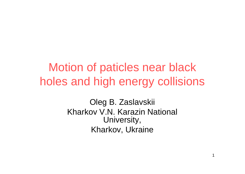# Motion of paticles near black holes and high energy collisions

Oleg B. ZaslavskiiKharkov V.N. Karazin National University,Kharkov, Ukraine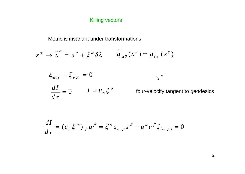## Killing vectors

## Metric is invariant under transformations

$$
x^{\alpha} \to \tilde{x}^{\alpha} = x^{\alpha} + \xi^{\alpha} \delta \lambda \qquad \tilde{g}_{\alpha\beta}(x^{\gamma}) = g_{\alpha\beta}(x^{\gamma})
$$

$$
\xi_{\alpha;\beta}+\xi_{\beta;\alpha}=0
$$

$$
\frac{dI}{d\tau} = 0 \qquad I = u_{\alpha} \xi^{\alpha}
$$

*four-velocity tangent to geodesics* 

$$
\frac{dI}{d\tau} = (u_{\alpha} \xi^{\alpha})_{;\beta} u^{\beta} = \xi^{\alpha} u_{\alpha;\beta} u^{\beta} + u^{\alpha} u^{\beta} \xi_{(\alpha;\beta)} = 0
$$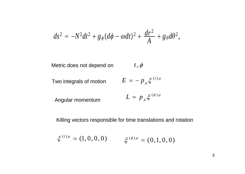$$
ds^2 = -N^2dt^2 + g_{\phi}(d\phi - \omega dt)^2 + \frac{dr^2}{A} + g_{\theta}d\theta^2,
$$

Metric does not depend on $t, \phi$ 

Two integrals of motion $E = - p_{\mu} \xi^{(t)\mu}$ 

Angular momentum

\n
$$
L = p_{\mu} \xi^{(\phi)\mu}
$$

Killing vectors responsible for time translations and rotation

$$
\xi^{(t)\mu} = (1,0,0,0) \qquad \xi^{(\phi)\mu} = (0,1,0,0)
$$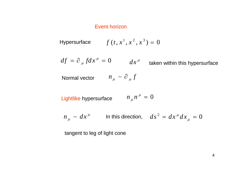#### Event horizon

 $f(t, x^1, x^2, x^3) = 0$ 

 $df \,=\,\partial\,_{\mu}\, f dx^{\,\mu} \,=\, 0 \hspace{1cm} dx^{\,\mu} \hspace{10mm}$  taken within this hypersurface

Normal vector  $n_{\mu} \thicksim \partial_{\mu} f$ 

Lightlike hypersurface  $n_{\mu}n^{\mu}=0$ 

 $n_{\mu} \sim dx^{\mu}$  In this direction,  $ds^{2} = dx^{\mu}dx_{\mu} = 0$ 

tangent to leg of light cone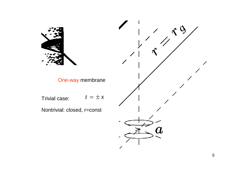

# One-way membrane

Trivial case:

$$
t = \pm x
$$

Nontrivial: closed, r=const

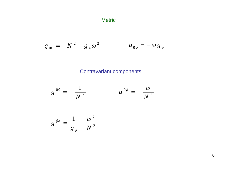#### **Metric**

$$
g_{00} = -N^2 + g_{\phi} \omega^2
$$
  $g_{0\phi} = -\omega g_{\phi}$ 

# Contravariant components

$$
g^{00} = -\frac{1}{N^2}
$$
  $g^{0\phi} = -\frac{\omega}{N^2}$ 

$$
g^{\phi\phi} = \frac{1}{g_{\phi}} - \frac{\omega^2}{N^2}
$$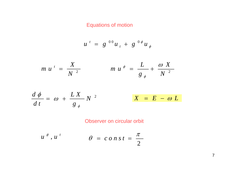# Equations of motion

$$
u^{t} = g^{00} u_{t} + g^{0\phi} u_{\phi}
$$

$$
m u^t = \frac{X}{N^2} \qquad m u^{\phi} = \frac{L}{g_{\phi}} + \frac{\omega X}{N^2}
$$

$$
\frac{d \phi}{d t} = \omega + \frac{L X}{g_{\phi}} N^2 \qquad X = E - \omega L
$$

Observer on circular orbit

$$
u^{\phi}, u^{t} \qquad \theta = const = \frac{\pi}{2}
$$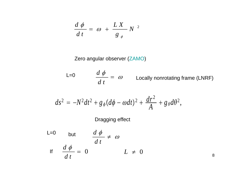$$
\frac{d \phi}{d t} = \omega + \frac{L X}{g_{\phi}} N^2
$$

Zero angular observer (ZAMO)

 $\textrm{L=0}$ 0 <u>d</u> *d <sup>t</sup>* $\phi$  $\frac{1}{t} = \omega$ Locally nonrotating frame (LNRF)

$$
ds^2 = -N^2dt^2 + g_{\phi}(d\phi - \omega dt)^2 + \frac{dr^2}{A} + g_{\theta}d\theta^2,
$$

Dragging effect

$$
L=0 \t but \t \frac{d \phi}{dt} \neq \omega
$$
  
If  $\frac{d \phi}{dt} = 0$   $L \neq 0$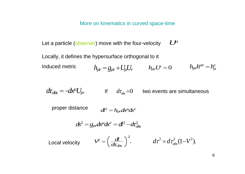More on kinematics in curved space-time

Let a particle (observer) move with the four-velocity  $U^{\mu}$ 

Locally, it defines the hypersurface orthogonal to it  $h_{\!\scriptscriptstyle\mu\nu}$ Induced metric  $h_{\mu\nu} = g_{\mu\nu} + U_\mu U_\nu \qquad \quad h_{\mu\nu} U^\nu = 0 \qquad \quad h_{\mu\nu} h^{\nu\sigma} = h^\nu_\mu$ 

$$
d\tau_{obs} = -d\theta^{\mu} U_{\mu}.
$$
 If  $d\tau_{obs} = 0$  two events are simultaneous

proper distance *dl*

$$
dl^2 = h_{\mu\nu} dx^\mu dx^\nu
$$

$$
ds^2 = g_{\mu\nu} dx^{\mu} dx^{\nu} = dl^2 - d\tau_{obs}^2
$$

Local velocity 
$$
V^2 = \left(\frac{dI}{dt_{obs}}\right)^2. \qquad d\tau^2 = d\tau_{obs}^2 (1 - V^2).
$$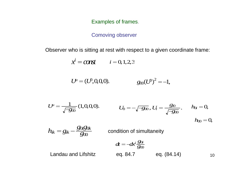Examples of frames.

## Comoving observer

Observer who is sitting at rest with respect to a given coordinate frame:

$$
x^i = const \qquad i = 0, 1, 2, 3
$$

$$
U^{\mu} = (U^0, 0, 0, 0). \qquad \qquad g_{00}(U^0)^2 = -1,
$$

$$
U^{\mu} = \frac{1}{\sqrt{-g\omega}} (1,0,0,0). \qquad U_0 = -\sqrt{-g\omega}, U_i = \frac{g_0}{\sqrt{-g\omega}}. \qquad h_0 = 0, \qquad h_0 = 0,
$$

$$
h_{ik} = g_{ik} - \frac{g_{0i}g_{0k}}{g_{00}}
$$
 condition of simultaneity  

$$
dt = -dx^i \frac{g_{0i}}{g_{00}}
$$
  
Landau and Lifshitz eq. 84.7 eq. (84.14)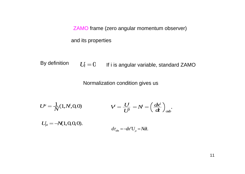ZAMO frame (zero angular momentum observer)

and its properties

By definition $U_i = \text{C}$  If i is angular variable, standard ZAMO

Normalization condition gives us

$$
U^{\mu} = \frac{1}{N}(1, N^i, 0, 0) \qquad \qquad V^i = \frac{U}{U^0} = N^i = \left(\frac{dx^i}{dt}\right)_{\text{osb}}.
$$

 $d\tau_{obs} = -dx^{\mu}U_{\mu} = Ndt.$  $U_{\mu} = -N(1,0,0,0).$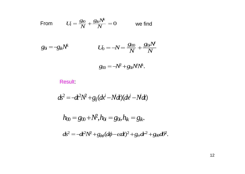From 
$$
U_i = \frac{g_{i0}}{N} + \frac{g_{ik}N^k}{N} = 0
$$

we find

$$
g_{0i} = -g_{ik}N^{k} \qquad \qquad U_{0} = -N = \frac{g_{00}}{N} + \frac{g_{0i}N^{i}}{N}
$$

$$
g_{00} = -N^2 + g_{0i}NN^k.
$$

**Result:** 

$$
ds^2 = -dt^2N^2 + g_{ij}(dx^i - Ndt)(dx^j - Ndt)
$$

$$
h_{00} = g_{00} + N^2, h_{0i} = g_{0i}, h_{ik} = g_{ik}.
$$

$$
ds2 = -dt2N2 + g\phi\phi(d\phi - \omega dt)2 + g\alphadr2 + g\theta\phid\theta2.
$$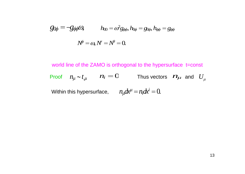$$
g_{0\phi} = -g_{\phi\phi}\omega, \qquad h_{00} = \omega^2 g_{\phi\phi}, h_{0\phi} = g_{0\phi}, h_{\phi\phi} = g_{\phi\phi}
$$

$$
N^{\phi} = \omega, N = N^{\theta} = 0.
$$

world line of the ZAMO is orthogonal to the hypersurface t=const Proof  $n_{\mu} \thicksim t_{,\mu}$   $\qquad$   $n_{i} = 0$  Thus vectors  $\bm{n}_{\mu}$  and  $U_{_\mu}$ Within this hypersurface,  $n_{\mu}dx^{\mu} = n_{i}dx^{i} = 0.$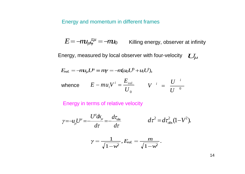Energy and momentum in different frames

 $E\!=\!$ <sup>−</sup>*mu* −*mu*0 # Killing energy, observer at infinity

Energy, measured by local observer with four-velocity  $\,\,\bm{U_{\!\mu}}\,$ 

$$
E_{rel.} = -m\mu_{\mu}U^{\mu} \equiv m\gamma = -m(\mu_0 U^0 + \mu_i U^i),
$$

whence 
$$
E - mu_i V^i = \frac{E_{rel.}}{U_0}
$$
  $V^{-i} = \frac{U^{-i}}{U_0}$ 

Energy in terms of relative velocity

$$
\gamma = -u_{\mu}U^{\mu} = \frac{U^{\mu}dx_{\mu}}{d\tau} = \frac{d\tau_{obs}}{d\tau} \qquad d\tau^{2} = d\tau_{obs}^{2}(1-V^{2}).
$$

$$
\gamma=\frac{1}{\sqrt{1-\mathcal{w}^2}}, E_{rel.}=\frac{m}{\sqrt{1-\mathcal{w}^2}}
$$

. #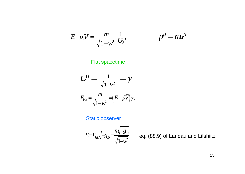$$
E-p_iV^i=\frac{m}{\sqrt{1-w^2}}\frac{1}{U_0},\qquad p^{\mu}=m\ell^{\mu}
$$

# Flat spacetime

$$
U^0=\tfrac{1}{\sqrt{1-{\cal V}^2}}=\gamma
$$

$$
E_{(0)} = \frac{m}{\sqrt{1 - w^2}} = \left(E - \vec{p}\vec{V}\right)\gamma,
$$

Static observer

$$
E = E_{\text{rel.}}\sqrt{-g_{\text{O}}} = \frac{m\sqrt{-g_{\text{O}}}}{\sqrt{1 - w^2}}
$$

eq. (88.9) of Landau and Lifshiitz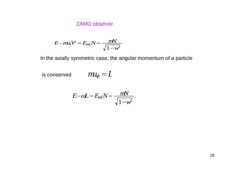#### ZAMO observer

$$
E-mu_iV^i=E_{rel}N=\frac{mN}{\sqrt{1-v^2}}
$$

In the axially symmetric case, the angular momentum of a particle

is conserved*mu*

$$
m_{\phi}=L
$$

$$
E\text{-}\omega\textcolor{red}{L}=E_{rel.}N\textcolor{red}{=}\frac{m\textcolor{red}{N}}{\sqrt{1\textcolor{red}{-n^2}}}.
$$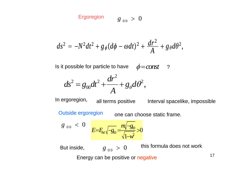$$
ds^2 = -N^2dt^2 + g_{\phi}(d\phi - \omega dt)^2 + \frac{dr^2}{A} + g_{\theta}d\theta^2,
$$

Is it possible for particle to have  $\qquad \phi = const \qquad$  ?

$$
ds^2 = g_{00}dt^2 + \frac{dr^2}{A} + g_\theta d\theta^2,
$$

In ergoregion,all terms positive Interval spacelike, impossible

Outside ergoregion  
\n
$$
g_{00} < 0
$$

\n $E = E_{rd} \sqrt{-g_0} = \frac{m \sqrt{-g_0}}{\sqrt{1 - w^2}} > 0$ 

\nBut inside,  $g_{00} > 0$  this formula does not work

\nEnergy can be positive or negative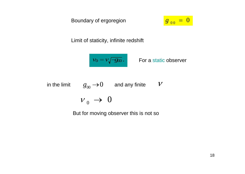

But for moving observer this is not so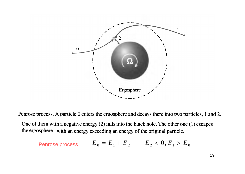

Penrose process. A particle 0 enters the ergosphere and decays there into two particles, 1 and 2.

One of them with a negative energy (2) falls into the black hole. The other one (1) escapes the ergosphere with an energy exceeding an energy of the original particle.

$$
Penrose process \t E_0 = E_1 + E_2 \t E_2 < 0, E_1 > E_0
$$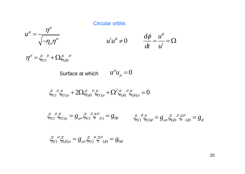#### Circular orbits



$$
u^{\mu} = \frac{1}{\sqrt{-\eta_{\alpha}\eta^{\alpha}}}
$$
\n
$$
u^t u^{\phi} \neq 0
$$
\n
$$
\frac{d\phi}{dt} = \frac{u^{\phi}}{u^t} = \Omega
$$

 $\eta^{\mu} = \xi_{(t)}^{\mu} + \Omega \xi_{(\phi)}^{\mu}$ 

Surface at which  $^{\mu}u_{\mu} = 0$ 

$$
\xi_{(t)}^{\mu} \xi_{(t)\mu} + 2\Omega \xi_{(\phi)}^{\mu} \xi_{(t)\mu} + \Omega^2 \xi_{(\phi)}^{\mu} \xi_{(\phi)\mu} = 0
$$

$$
\xi_{(t)}^{\mu} \xi_{(t)\mu} = g_{\mu\nu} \xi_{(t)}^{\mu} \xi^{\mu}_{(t)} = g_{00} \qquad \xi_{(t)}^{\phi} \xi_{(t)\phi} = g_{\mu\nu} \xi_{(\phi)}^{\mu} \xi^{\mu}_{(\phi)} = g_{\phi}
$$

$$
\xi_{(t)}^{\mu} \xi_{(\phi)\mu} = g_{\mu\nu}^{\mu} \xi_{(t)}^{\mu} \xi^{\mu}{}_{(\phi)} = g_{0\phi}
$$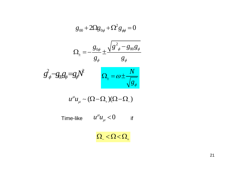$$
g_{00} + 2\Omega g_{0\phi} + \Omega^2 g_{\phi\phi} = 0
$$
  

$$
\Omega_{\pm} = -\frac{g_{0\phi}}{g_{\phi}} \pm \frac{\sqrt{g^2 - g_{00}g_{\phi}}}{g_{\phi}}
$$
  

$$
\frac{g_{00}}{g_{\phi}} = g_{\phi} \frac{\partial g_{\phi}}{\partial g_{\phi}} = 0
$$

$$
g^2_{\phi} - g_0 g_{\phi} = g_{\phi} N^2 \qquad \qquad \Omega_{\pm} = \omega \pm \frac{N}{\sqrt{g_{\phi}}}
$$

$$
u^{\mu}u_{\mu} \sim (\Omega - \Omega_{+})(\Omega - \Omega_{-})
$$

Time-like 
$$
u^{\mu}u_{\mu} < 0
$$
 if

 $\Omega_{\text{L}} < \Omega < \Omega_{\text{L}}$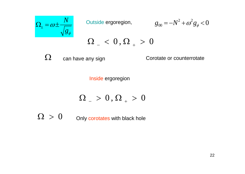

Outside ergoregion,

$$
g_{00} = -N^2 + \omega^2 g_{\phi} < 0
$$

$$
\Omega_{-}<0\,,\Omega_{+}>0
$$

Ωcan have any sign

Corotate or counterrotate

Inside ergoregion

$$
\Omega_{-} > 0, \Omega_{+} > 0
$$

 $\Omega > 0$  Only corotates with black hole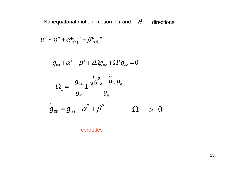$$
u^{\mu} \sim \eta^{\mu} + \alpha h_{(r)}^{\mu} + \beta h_{(\theta)}^{\mu}
$$

$$
g_{00} + \alpha^2 + \beta^2 + 2\Omega g_{0\phi} + \Omega^2 g_{\phi\phi} = 0
$$
  

$$
\Omega_{\pm} = -\frac{g_{0\phi}}{g_{\phi}} \pm \frac{\sqrt{g_{\phi}^2 - g_{00}g_{\phi}}}{g_{\phi}}
$$

$$
\widetilde{g}_{00} = g_{00} + \alpha^2 + \beta^2 \qquad \qquad \Omega_{-} > 0
$$

corotates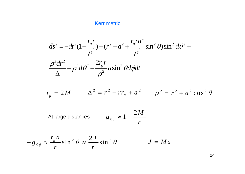## Kerr metric

$$
ds^{2} = -dt^{2}(1 - \frac{r_{g}r}{\rho^{2}}) + (r^{2} + a^{2} + \frac{r_{g}ra^{2}}{\rho^{2}}\sin^{2}\theta)\sin^{2}d\theta^{2} + \frac{\rho^{2}dr^{2}}{\Delta} + \rho^{2}d\theta^{2} - \frac{2r_{g}r}{\rho^{2}}a\sin^{2}\theta d\phi dt
$$

$$
r_g = 2M \t\t \Delta^2 = r^2 - rr_g + a^2 \t\t \rho^2 = r^2 + a^2 \cos^2 \theta
$$

At large distances 
$$
-g_{00} \approx 1 - \frac{2M}{r}
$$

$$
-g_{0\phi} \approx \frac{r_g a}{r} \sin^2 \theta \approx \frac{2J}{r} \sin^2 \theta \qquad J = Ma
$$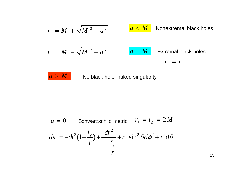$$
r_{+} = M + \sqrt{M^{2} - a^{2}}
$$
  $a < M$  Nonextremal black holes  
 $r_{-} = M - \sqrt{M^{2} - a^{2}}$   $a = M$  Extremal black holes  
 $r_{+} = r_{-}$ 

 $a > M$ 

No black hole, naked singularity

$$
a = 0
$$
 Schwarzschild metric  $r_{+} = r_{g} = 2M$   

$$
ds^{2} = -dt^{2}(1 - \frac{r_{g}}{r}) + \frac{dr^{2}}{1 - \frac{r_{g}}{r}} + r^{2} \sin^{2} \theta d\phi^{2} + r^{2} d\theta^{2}
$$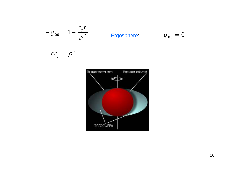$$
-g_{00} = 1 - \frac{r_g r}{\rho^2}
$$
 Ergosphere:  $g_{00} = 0$   

$$
rr_g = \rho^2
$$

*rr*

 $=$   $\rho$ 

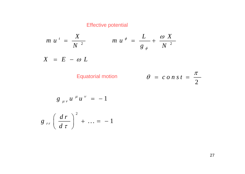#### Effective potential

$$
m u^{t} = \frac{X}{N^{2}}
$$
  $m u^{\phi} = \frac{L}{g_{\phi}} + \frac{\omega X}{N^{2}}$ 

 $X = E - \omega L$ 

Equatorial motion

$$
\theta = c \text{ on } st = \frac{\pi}{2}
$$

 $\overline{a}$ 

$$
g_{\mu\nu} u^{\mu} u^{\nu} = -1
$$

$$
g_{rr}\left(\frac{dr}{d\tau}\right)^2 + \ldots = -1
$$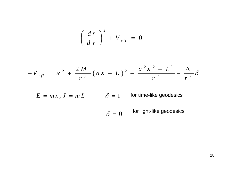$$
\left(\frac{dr}{d\tau}\right)^2 + V_{\text{eff}} = 0
$$

$$
-V_{eff} = \varepsilon^{2} + \frac{2M}{r^{3}}(a \varepsilon - L)^{2} + \frac{a^{2} \varepsilon^{2} - L^{2}}{r^{2}} - \frac{\Delta}{r^{2}} \delta
$$

 $E = m \varepsilon, J = m L$   $\delta = 1$  for time-like geodesics

$$
\delta = 0
$$
 for light-like geodesics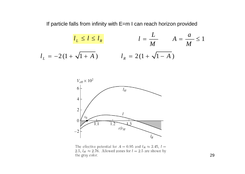If particle falls from infinity with E=m I can reach horizon provided

$$
l_L \le l \le l_R
$$
  $l = \frac{L}{M}$   $A = \frac{a}{M} \le 1$   
 $l_L = -2(1 + \sqrt{1 + A})$   $l_R = 2(1 + \sqrt{1 - A})$ 



The effective potential for  $A = 0.95$  and  $l_R \approx 2.45$ ,  $l =$ 2.5,  $l_H \approx 2.76$ . Allowed zones for  $l = 2.5$  are shown by the gray color.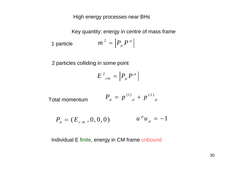High energy processes near BHs

Key quantity: energy in centre of mass frame

 $m^2 = |P_{\mu}P^{\mu}|$  $\mu$ 1 particle

2 particles colliding in some point

$$
E^2_{\ \ cm} = \left| P_\mu P^{\ \mu} \right|
$$

Total momentum 
$$
P_{\mu} = p^{(1)}_{\mu} + p^{(2)}_{\mu}
$$

$$
P_a = (E_{c.m.}, 0, 0, 0) \qquad u^{\mu} u_{\mu} = -1
$$

Individual E finite, energy in CM frame unbound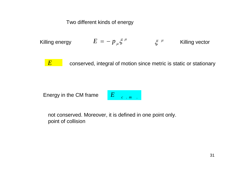### Two different kinds of energy

Killing energy

\n
$$
E = -p_{\mu} \xi^{\mu} \qquad \xi^{\mu} \qquad \text{Killing vector}
$$



Energy in the CM frame

$$
E \left[ \begin{array}{ccc} 0 & \cdots & 0 \\ \cdots & \cdots & 0 \\ 0 & \cdots & 0 \end{array} \right]
$$

not conserved. Moreover, it is defined in one point only.point of collision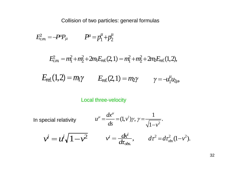Collision of two particles: general formulas

$$
E_{cm}^2 = -P^{\mu}P_{\mu} \qquad P^{\mu} = p_1^{\mu} + p_2^{\mu}
$$

$$
E_{cm}^2 = m_1^2 + m_2^2 + 2m_1 E_{rel.}(2,1) = m_1^2 + m_2^2 + 2m_2 E_{rel.}(1,2),
$$

$$
E_{rel.}(1,2)=m_1\gamma\qquad E_{rel.}(2,1)=m_2\gamma\qquad \gamma=-u_1^{\mu}u_{2\mu},
$$

## Local three-velocity

In special relativity 
$$
u^{\mu} = \frac{dx^{\mu}}{ds} = (1, v^i)\gamma, \gamma = \frac{1}{\sqrt{1 - v^2}}.
$$
  
\n $v^i = u^i \sqrt{1 - v^2}$   $v^i = \frac{dx^i}{dt_{obs}}, \qquad d\tau^2 = d\tau_{obs}^2 (1 - v^2).$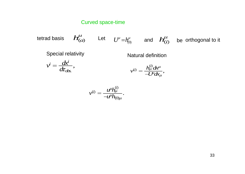## Curved space-time

tetrad basiss  $h^{\mu}_{(a)}$  Let  $U^{\mu} = h^{\mu}_{(0)}$  and  $h^{\mu}_{(i)}$  be orthogonal to it  $\nu^{(i)}=$  $=\frac{\displaystyle h^{(i)}_{\mu}dx^{\mu}}{\displaystyle -U^{ \nu}dx_{\mu}},$ Natural definition $\nu^{i} =$  $=\frac{d\vec{x}}{dt_{obs.}},$ Special relativity

$$
\nu^{(i)} = \frac{\nu^\mu h^{(i)}_\mu}{-\nu^\mu h_{(0)\mu}}.
$$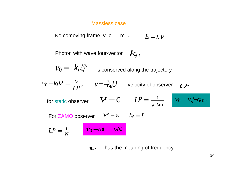#### Massless case

No comoving frame, v=c=1, m=0  $\hspace{1.6cm}E$  $E = \hbar v$ 

Photon with wave four-vector  $\;$   $\mathcal{K}_{\mu}$ 

 $\nu_0 = \! - \! k_\mu \xi^\mu \!\!$  is conserved along the trajectory

 $\nu_0 - k_i V^i = \frac{V}{U^0}, \qquad \nu = -k_\mu U^\mu$  velocity of observer  $U^\mu$ 

for static observer  $\boldsymbol{V}^i = 0$   $\boldsymbol{U}^0 = \frac{1}{\sqrt{-g_{00}}}$   $\boldsymbol{V}_0 = \boldsymbol{V}_{\!\sqrt{-g_{00}}}$ .

For ZAMO observer  $V^\phi = \alpha$   $k_\phi = L$ 

 $U^0 = \frac{1}{N}$   $V_0 - \omega L = \nu N$ .

 $\blacktriangledown$ has the meaning of frequency.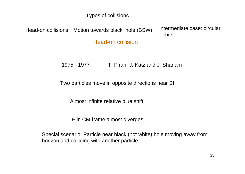Head-on collisions Motion towards black hole (BSW)Intermediate case: circular orbits

Head-on collision

1975 - 1977 T. Piran, J. Katz and J. Shanam

Two particles move in opposite directions near BH

Almost infinite relative blue shift

E in CM frame almost diverges

Special scenario. Particle near black (not white) hole moving away fromhorizon and colliding with another particle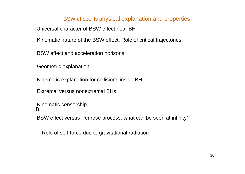## BSW effect, its physical explanation and properties

Universal character of BSW effect near BH

Kinematic nature of the BSW effect. Role of critical trajectories

BSW effect and acceleration horizons

Geometric explanation

Kinematic explanation for collisions inside BH

Extremal versus nonextremal BHs

BKinematic censorship

BSW effect versus Penrose process: what can be seen at infinity?

Role of self-force due to gravitational radiation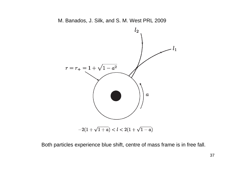M. Banados, J. Silk, and S. M. West PRL 2009



Both particles experience blue shift, centre of mass frame is in free fall.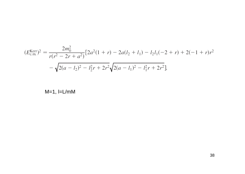$$
(E_{\text{c.m.}}^{\text{Kerr}})^2 = \frac{2m_0^2}{r(r^2 - 2r + a^2)} [2a^2(1 + r) - 2a(l_2 + l_1) - l_2l_1(-2 + r) + 2(-1 + r)r^2 - \sqrt{2(a - l_2)^2 - l_2^2r + 2r^2}\sqrt{2(a - l_1)^2 - l_1^2r + 2r^2}].
$$

 $M=1$ ,  $I=L/mM$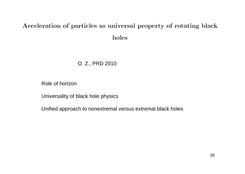# Acceleration of particles as universal property of rotating black holes

## O. Z., PRD 2010

Role of horizon

Universality of black hole physics

Unified approach to nonextremal versus extremal black holes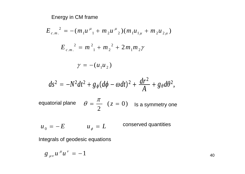Energy in CM frame

$$
E_{c.m.}^{2} = -(m_1 u^{\mu} + m_2 u^{\mu}{}_{2})(m_1 u_{1\mu} + m_2 u_{2\mu})
$$
  
\n
$$
E_{c.m.}^{2} = m^2{}_1 + m_2{}^2 + 2m_1 m_2 \gamma
$$
  
\n
$$
\gamma = -(u_1 u_2)
$$
  
\n
$$
ds^2 = -N^2 dt^2 + g_{\phi} (d\phi - \omega dt)^2 + \frac{dr^2}{A} + g_{\theta} d\theta^2,
$$
  
\nequatorial plane  $\theta = \frac{\pi}{2}$  (*z* = 0) Is a symmetry one  
\n
$$
u_0 = -E \qquad u_{\phi} = L \qquad \text{conserved quantities}
$$

Integrals of geodesic equations

$$
g_{\mu\nu}u^{\mu}u^{\nu}=-1
$$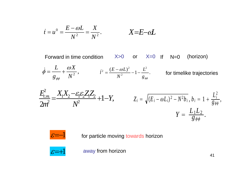$$
\dot{t} = u^0 = \frac{E - \omega L}{N^2} = \frac{X}{N^2}.
$$

Forward in time condition 0 or  $X=0$  If  $N=0$  (horizon)

$$
\dot{\phi} = \frac{L}{g_{\phi\phi}} + \frac{\omega X}{N^2}, \qquad i^2 = \frac{(E - \omega L)^2}{N^2} - 1 - \frac{L^2}{g_{\phi\phi}}.
$$
 for timelike trajectories

$$
\frac{E_{c.m.}^{2}}{2m^{2}} = \frac{X_{1}X_{2} - \varepsilon_{1}\varepsilon_{2}Z_{1}Z_{2}}{N^{2}} + 1 - Y, \qquad Z_{i} = \sqrt{(E_{i} - \omega L_{i})^{2} - N^{2}b_{i}}, b_{i} = 1 + \frac{L_{i}^{2}}{g_{\phi\phi}},
$$
\n
$$
Y = \frac{L_{1}L_{2}}{g_{\phi\phi}}.
$$



for particle moving towards horizon



away from horizon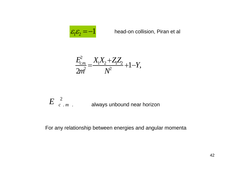

head-on collision, Piran et al

$$
\frac{E_{cm}^{2}}{2m^{2}} = \frac{X_{1}X_{2} + Z_{1}Z_{2}}{N^{2}} + 1 - Y,
$$

$$
E_{c.m.}^2
$$
 always unbound near horizon

For any relationship between energies and angular momenta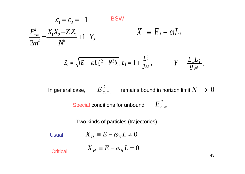

$$
Z_i = \sqrt{(E_i - \omega L_i)^2 - N^2 b_i}, b_i = 1 + \frac{L_i^2}{g_{\phi\phi}}, \qquad \qquad Y = \frac{L_1 L_2}{g_{\phi\phi}}.
$$

In general case,  $E_{c.m.}^{\,2}$  remains bound in horizon limit  $N\rightarrow 0$  $E_{c,m}^2$ 

Special conditions for unbound

Two kinds of particles (trajectories)

Usual

0 *X*<sub>*H*</sub> ≡  $E - \omega_H L \neq 0$ 

**Critical** 

 $X_H \equiv E - \omega_H L = 0$ 

43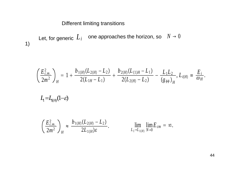## Different limiting transitions

1)Let, for generic  $\,L_i\quad$  one approaches the horizon, so  $\,$   $\,N\rightarrow 0\,$ 

$$
\left(\frac{E_{c.m.}^2}{2m^2}\right)_H = 1 + \frac{b_{1(H)}(L_{2(H)}-L_2)}{2(L_{1H}-L_1)} + \frac{b_{2(H)}(L_{(1)H}-L_1)}{2(L_{2(H)}-L_2)} - \frac{L_1L_2}{(g_{\phi\phi})_H}, L_{i(H)} = \frac{E_i}{\omega_H}.
$$

$$
I_{\mathbf{f}} = I_{\mathbf{f}(H)}(1-\varepsilon)
$$

$$
\left(\frac{E_{c.m.}^2}{2m^2}\right)_H \approx \frac{b_{1(H)}(L_{2(H)} - L_2)}{2L_{1(H})\varepsilon}.
$$
  $\lim_{L_1 \to L_{1(H)}}$ 

$$
\lim_{L_1 \to L_{1(H)}} \lim_{N \to 0} E_{cm} = \infty.
$$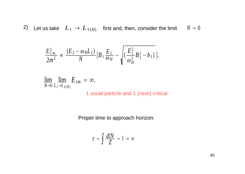2) Let us take  $|L_1 \rightarrow L_{1(H)}|$  first and, then, consider the limit *N*  $N \rightarrow 0$ 

$$
\frac{E_{c.m.}^2}{2m^2} \approx \frac{(E_2 - \omega_H L_2)}{N} [B_1 \frac{E_1}{\omega_H} - \sqrt{(\frac{E_1^2}{\omega_H^2} B_1^2 - b_1)}].
$$

$$
\lim_{N \to 0} \lim_{L_1 \to L_{1(H)}} E_{cm} = \infty.
$$
  
1 usual particle and 1 (near) critical

Proper time to approach horizon:

$$
\tau \sim \int \frac{dN}{Z} \sim l \to \infty
$$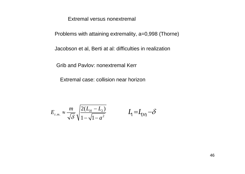#### Extremal versus nonextremal

Problems with attaining extremality, a=0,998 (Thorne)

Jacobson et al, Berti at al: difficulties in realization

Grib and Pavlov: nonextremal Kerr

Extremal case: collision near horizon

$$
E_{c.m.} \approx \frac{m}{\sqrt{\delta}} \sqrt{\frac{2(L_{H} - L_{2})}{1 - \sqrt{1 - a^{2}}}} \qquad L_{1} = L_{(H)} - \delta
$$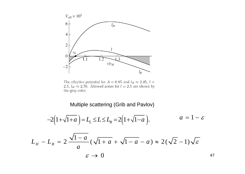

The effective potential for  $A = 0.95$  and  $l_R \approx 2.45$ ,  $l =$ 2.5,  $l_H \approx 2.76$ . Allowed zones for  $l = 2.5$  are shown by the gray color.

Multiple scattering (Grib and Pavlov)

$$
-2(1+\sqrt{1+a})=L_{\mathcal{L}}\leq L\leq L_{\mathcal{R}}=2(1+\sqrt{1-a}).\qquad a=1-\varepsilon
$$

$$
L_H - L_R = 2 \frac{\sqrt{1-a}}{a} (\sqrt{1+a} + \sqrt{1-a} - a) \approx 2(\sqrt{2}-1)\sqrt{\varepsilon}
$$
  

$$
\varepsilon \to 0
$$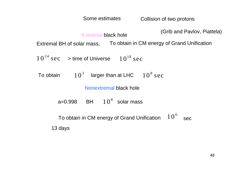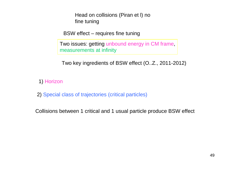Head on collisions (Piran et l) no fine tuning

BSW effect – requires fine tuning

Two issues: getting unbound energy in CM frame,measurements at infinity

Two key ingredients of BSW effect (O..Z., 2011-2012)

1) Horizon

2) Special class of trajectories (critical particles)

Collisions between 1 critical and 1 usual particle produce BSW effect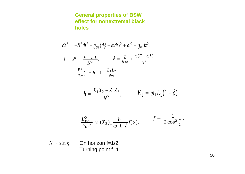## **General properties of BSW** effect for nonextremal black holes

$$
ds^{2} = -N^{2}dt^{2} + g_{\phi\phi}(d\phi - \omega dt)^{2} + dl^{2} + g_{zz}dz^{2}.
$$
  

$$
\dot{t} = u^{0} = \frac{E - \omega L}{N^{2}}.
$$

$$
\dot{\phi} = \frac{L}{g_{\phi\phi}} + \frac{\omega(E - \omega L)}{N^{2}},
$$

$$
\frac{E_{c.m.}^{2}}{2m^{2}} = h + 1 - \frac{L_{1}L_{2}}{g_{\phi\phi}}
$$

$$
h = \frac{X_1 X_2 - Z_1 Z_2}{N^2}, \qquad E_1 = \omega_+ L_1 (1 + \delta)
$$

$$
\frac{E_{c.m.}^2}{2m^2} \approx (X_2)_+ \frac{b_+}{\omega_+ L_+ \delta} f(\chi). \qquad f = \frac{1}{2 \cos^2 \frac{\eta}{2}}.
$$

$$
N \sim \sin \eta
$$
 On horizon f=1/2  
Turning point f=1

50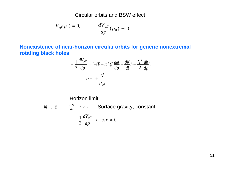Circular orbits and BSW effect

$$
V_{\text{eff}}(\rho_0) = 0, \qquad \qquad \frac{dV_{\text{eff}}}{d\rho}(\rho_0) = 0
$$

**Nonexistence of near-horizon circular orbits for generic nonextremal rotating black holes**

$$
-\frac{1}{2}\frac{dV_{\text{eff}}}{d\rho} = [-(E - \omega L)L\frac{d\omega}{d\rho} - \frac{dN}{dl}b - \frac{N^2}{2}\frac{db}{d\rho}].
$$

$$
b = 1 + \frac{L^2}{g_{\phi\phi}}
$$

Horizon limit

 $N \rightarrow 0$   $\frac{dN}{dt} \rightarrow \kappa$ . Surface gravity, constant  $-\frac{1}{2}$  $\frac{dV_{eff}}{d\rho} \rightarrow -b_+ \kappa \neq 0$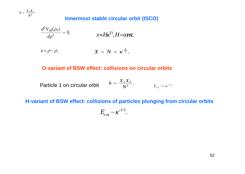*h* =  $\frac{X_1 X_2}{N^2}$ .

### **Innermost stable circular orbit (ISCO)**

$$
\frac{d^2V_{\text{eff}}(\rho_0)}{d\rho^2} = 0.
$$
\n
$$
x \approx Hk^{23}, H = \text{const.}
$$
\n
$$
x = \rho - \rho_+ \qquad X \sim N \sim \kappa^{\frac{2}{3}}.
$$

 $x = \rho - \rho_+$   $X \sim N \sim \kappa$ 

#### **O-variant of BSW effect: collisions on circular orbits**

Particle 1 on circular orbit

\n
$$
h = \frac{X_1 X_2}{N^2}.
$$
\nE<sub>c.m.</sub> ~ K<sup>-1/3</sup>.

#### **H-variant of BSW effect: collisions of particles plunging from circular orbits**

$$
E_{c.m.} \sim \kappa^{-1/2}.
$$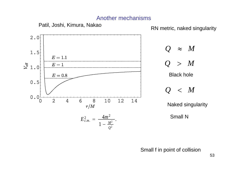## Another mechanisms



Small f in point of collision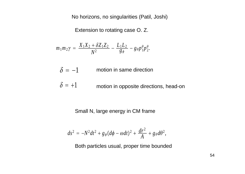No horizons, no singularities (Patil, Joshi)

Extension to rotating case O. Z.

$$
m_1 m_2 \gamma = \frac{X_1 X_2 + \delta Z_1 Z_2}{N^2} - \frac{L_1 L_2}{g_{\phi}} - g_{\theta} p_1^{\theta} p_2^{\theta}.
$$

$$
\delta = -1
$$
 motion in same direction

$$
\delta = +1
$$
 motion in opposite directions, head-on

Small N, large energy in CM frame

$$
ds^2 = -N^2dt^2 + g_{\phi}(d\phi - \omega dt)^2 + \frac{dr^2}{A} + g_{\theta}d\theta^2,
$$

Both particles usual, proper time bounded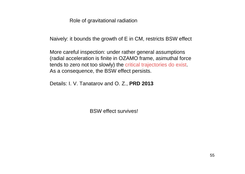Role of gravitational radiation

Naively: it bounds the growth of E in CM, restricts BSW effect

More careful inspection: under rather general assumptions (radial acceleration is finite in OZAMO frame, asimuthal force tends to zero not too slowly) the critical trajectories do exist.As a consequence, the BSW effect persists.

Details: I. V. Tanatarov and O. Z., **PRD 2013**

BSW effect survives!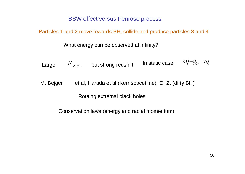BSW effect versus Penrose process

Particles 1 and 2 move towards BH, collide and produce particles 3 and 4

What energy can be observed at infinity?

Rotaing extremal black holesM. Bejger  $\qquad$  et al, Harada et al (Kerr spacetime), O. Z. (dirty BH) Large $E$ <sub>c</sub><sub>*c*</sub>*m*. . . but strong redshift 000 in static case  $\omega$   $-\theta$   $-\theta$ 

Conservation laws (energy and radial momentum)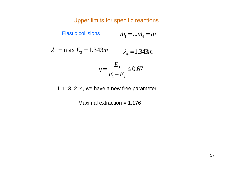# Upper limits for specific reactions

Elastic collisions 
$$
m_1 = ... m_4 = m
$$
  
\n $\lambda_+ = \max E_3 = 1.343m$   $\lambda_+ = 1.343m$   
\n $\eta = \frac{E_3}{E_1 + E_2} \le 0.67$ 

If 1=3, 2=4, we have a new free parameter

Maximal extraction  $= 1.176$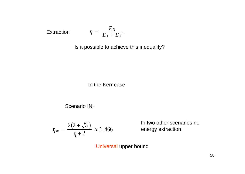$$
\text{Extraction} \qquad \eta = \frac{E_3}{E_1 + E_2}.
$$

Is it possible to achieve this inequality?

In the Kerr case

Scenario IN+

$$
\eta_m = \frac{2(2+\sqrt{3})}{q+2} \approx 1.466
$$

In two other scenarios noenergy extraction

Universal upper bound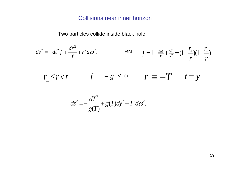# Collisions near inner horizon

Two particles collide inside black hole

$$
ds^{2} = -dt^{2} f + \frac{dr^{2}}{f} + r^{2} d\omega^{2}.
$$
 RN  $f = 1 - \frac{2M}{r} + \frac{Q^{2}}{r^{2}} = (1 - \frac{r_{+}}{r})(1 - \frac{r_{-}}{r})$ 

$$
r_{-} \leq r < r_{+} \qquad f = -g \leq 0 \qquad r \equiv -T \qquad t \equiv y
$$

$$
ds2 = -\frac{dT2}{g(T)} + g(T)dy2 + T2 d\omega2.
$$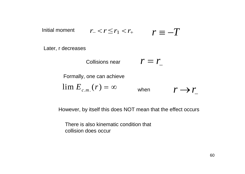Initial moment 
$$
r_- < r \le r_1 < r_+
$$
  $r \equiv -T$ 

Later, r decreases

Collisions near*r*  $r = r$ 

Formally, one can achieve $\lim_{c.m.}(r) = \infty$ when  $r \rightarrow r_{-}$ 

−−

However, by itself this does NOT mean that the effect occurs

There is also kinematic condition thatcollision does occur

−−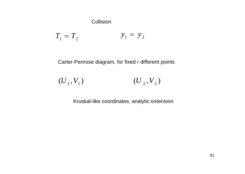## **Collision**

$$
T_1 = T_2 \qquad \qquad y_1 = y_2
$$

Carter-Penrose diagram, for fixed r different points

$$
(U_1, V_1) \t\t (U_2, V_2)
$$

Kruskal-like coordinates, analytic extension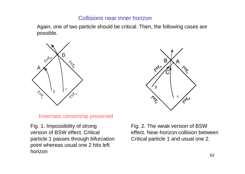# Collisions near inner horizon

Again, one of two particle should be critical. Then, the following cases arepossible.





Kinematic censorship preserved

Fig. 1. Impossibility of strong version of BSW effect. Criticalparticle 1 passes through bifurcationpoint whereas usual one 2 hits lefthorizon

Fig. 2. The weak version of BSW effect. Near-horizon collision betweenCritical particle 1 and usual one 2.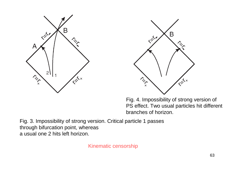



Fig. 4. Impossibility of strong version of PS effect. Two usual particles hit differentbranches of horizon.

Fig. 3. Impossibility of strong version. Critical particle 1 passes through bifurcation point, whereas a usual one 2 hits left horizon.

Kinematic censorship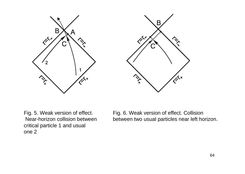

Fig. 5. Weak version of effect. Near-horizon collision between critical particle 1 and usual one 2

Fig. 6. Weak version of effect. Collisionbetween two usual particles near left horizon.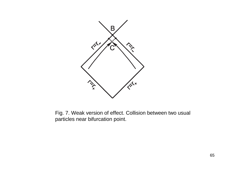

Fig. 7. Weak version of effect. Collision between two usual particles near bifurcation point.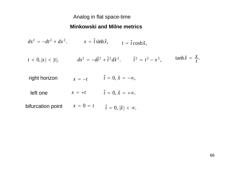#### Analog in flat space-time

## **Minkowski and Milne metrics**

 $ds^2 = -dt^2 + dx^2$ .  $x = \tilde{t} \sinh \tilde{x}$ ,  $t = \tilde{t} \cosh \tilde{x}$ ,

$$
t < 0, |x| < |t|
$$
.  $ds^2 = -d\tilde{t}^2 + \tilde{t}^2 d\tilde{x}^2$ .  $\tilde{t}^2 = t^2 - x^2$ ,  $\tanh \tilde{x} = \frac{x}{t}$ .

$$
\text{right horizon} \qquad \qquad x = -t \qquad \qquad \tilde{t} = 0, \, \tilde{x} = -\infty,
$$

| left one<br>$x = +t$ | $\tilde{t} = 0, \tilde{x} = +\infty.$ |
|----------------------|---------------------------------------|
|----------------------|---------------------------------------|

bifurcation point  $x = 0 = t$   $\tilde{t} = 0, |\tilde{x}| < \infty$ .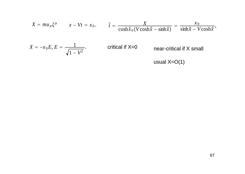$$
X = mu_{\mu}\xi^{\mu} \qquad x - Vt = x_{0}. \qquad \tilde{t} = \frac{X}{\cosh \tilde{x}_{0}(V \cosh \tilde{x} - \sinh \tilde{x})} = \frac{x_{0}}{\sinh \tilde{x} - V \cosh \tilde{x}},
$$

$$
X = -x_{0}E, E = \frac{1}{\sqrt{1 - V^{2}}}.
$$
critical if X=0 near-critical if X small usual X=O(1)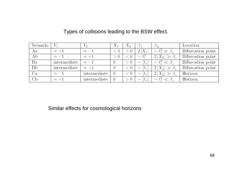| Scenario | V.           | $\scriptstyle{V_2}$ | Δ1 | $\Lambda_2$ |                   | $\beta_2$                      | Location          |
|----------|--------------|---------------------|----|-------------|-------------------|--------------------------------|-------------------|
| Aа       | $\approx +1$ | $\approx -1$        |    |             | $2 X_1$           | $\sim t_c^2 \ll \beta_1$       | Bifurcation point |
| Аb       | $\approx -1$ | $\approx +1$        |    |             | $\sim t_c^2$      | $2 X_2 \gg \beta_1$            | Bifurcation point |
| Ba       | intermediate | $\approx -1$        |    |             | $ t_c $<br>$\sim$ | $\sim t_c^2 \ll \beta_1$       | Bifurcation point |
| Bb       | intermediate | $\approx +1$        |    | $\leq 0$    | $\sim$<br>$ t_c $ | $2 X_2 \gg \overline{\beta_1}$ | Bifurcation point |
| Ca       | $\approx -1$ | intermediate        |    | € O         | $ t_c $<br>$\sim$ | $2 X_2 \gg \beta_1$            | Horizon           |
| CЬ       | $\approx +1$ | intermediate        |    |             | $ t_c $<br>$\sim$ | $\sim t_c^2 \ll \beta_1$       | Horizon           |

# Types of collisions leading to the BSW effect.

Similar effects for cosmological horizons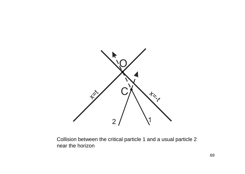

Collision between the critical particle 1 and a usual particle <sup>2</sup>near the horizon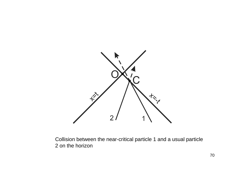

Collision between the near-critical particle 1 and a usual particle2 on the horizon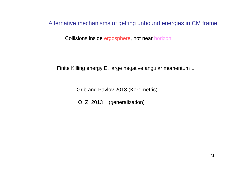Alternative mechanisms of getting unbound energies in CM frame

Collisions inside ergosphere, not near horizon

Finite Killing energy E, large negative angular momentum L

Grib and Pavlov 2013 (Kerr metric)

O. Z. 2013 (generalization)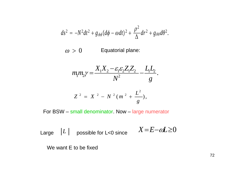$$
ds^2 = -N^2dt^2 + g_{\phi\phi}(d\phi - \omega dt)^2 + \frac{\rho^2}{\Delta}dr^2 + g_{\theta\theta}d\theta^2.
$$

 $\omega > 0$ Equatorial plane:

$$
m_1 m_2 \gamma = \frac{X_1 X_2 - \varepsilon_1 \varepsilon_2 Z_1 Z_2}{N^2} - \frac{L_1 L_2}{g}.
$$

$$
Z^2 = X^2 - N^2 (m^2 + \frac{L^2}{g}),
$$

For BSW – small denominator. Now – large numerator

Large 
$$
|L|
$$
 possible for L<0 since  $X=E-\omega L\geq 0$ 

We want E to be fixed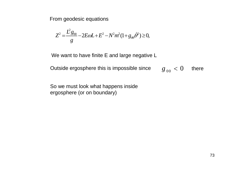From geodesic equations

$$
Z^{2} = \frac{L^{2}g_{00}}{g} - 2E\omega L + E^{2} - N^{2}m^{2}(1 + g_{\theta\theta}\dot{\theta}^{2}) \ge 0,
$$

We want to have finite E and large negative L

Outside ergosphere this is impossible sincee  $g_{\ 00} < 0$  there

So we must look what happens insideergosphere (or on boundary)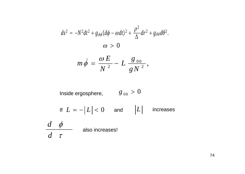$$
ds^{2} = -N^{2}dt^{2} + g_{\phi\phi}(d\phi - \omega dt)^{2} + \frac{\rho^{2}}{\Delta}dr^{2} + g_{\theta\theta}d\theta^{2}.
$$
  

$$
\omega > 0
$$

$$
m\,\phi\,=\,\frac{\omega\,\varDelta}{N^2}-L\,\frac{\delta\,00}{\,g\,N^2}\,,
$$

Inside ergosphere, 
$$
g_{00} > 0
$$

\nIf  $L = -|L| < 0$  and  $|L|$  increases

\n $\frac{d}{d} \frac{\phi}{\tau}$  also increases!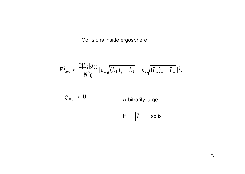Collisions inside ergosphere

$$
E_{c.m.}^2 \approx \frac{2|L_2|g_{00}}{N^2g} \left[\varepsilon_1 \sqrt{(L_1)_+ - L_1} - \varepsilon_2 \sqrt{(L_1)_- - L_1}\,\right]^2.
$$

$$
g_{00} > 0
$$
 Arbitrarily large

If 
$$
|L|
$$
 so is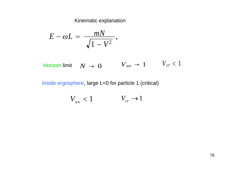Kinematic explanation

$$
E - \omega L = \frac{mN}{\sqrt{1 - V^2}},
$$

$$
\text{Horizontal limit} \quad N \to 0 \qquad V_{us} \to 1 \qquad V_{cr} < 1
$$

Inside ergosphere, large L<0 for particle 1 (critical)

$$
V_{us} < 1 \qquad V_{cr} \to 1
$$